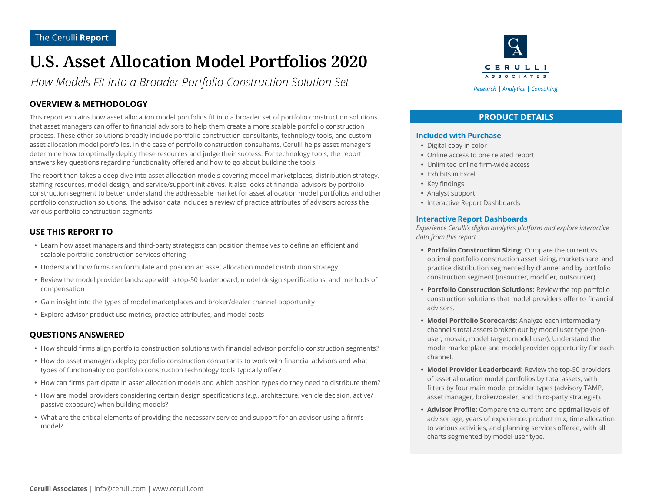# **U.S. Asset Allocation Model Portfolios 2020**

*How Models Fit into a Broader Portfolio Construction Solution Set*

## **OVERVIEW & METHODOLOGY**

This report explains how asset allocation model portfolios fit into a broader set of portfolio construction solutions that asset managers can offer to financial advisors to help them create a more scalable portfolio construction process. These other solutions broadly include portfolio construction consultants, technology tools, and custom asset allocation model portfolios. In the case of portfolio construction consultants, Cerulli helps asset managers determine how to optimally deploy these resources and judge their success. For technology tools, the report answers key questions regarding functionality offered and how to go about building the tools.

The report then takes a deep dive into asset allocation models covering model marketplaces, distribution strategy, staffing resources, model design, and service/support initiatives. It also looks at financial advisors by portfolio construction segment to better understand the addressable market for asset allocation model portfolios and other portfolio construction solutions. The advisor data includes a review of practice attributes of advisors across the various portfolio construction segments.

### **USE THIS REPORT TO**

- Learn how asset managers and third-party strategists can position themselves to define an efficient and scalable portfolio construction services offering
- Understand how firms can formulate and position an asset allocation model distribution strategy
- Review the model provider landscape with a top-50 leaderboard, model design specifications, and methods of compensation
- Gain insight into the types of model marketplaces and broker/dealer channel opportunity
- Explore advisor product use metrics, practice attributes, and model costs

### **QUESTIONS ANSWERED**

- How should firms align portfolio construction solutions with financial advisor portfolio construction segments?
- How do asset managers deploy portfolio construction consultants to work with financial advisors and what types of functionality do portfolio construction technology tools typically offer?
- How can firms participate in asset allocation models and which position types do they need to distribute them?
- y How are model providers considering certain design specifications (*e.g.*, architecture, vehicle decision, active/ passive exposure) when building models?
- What are the critical elements of providing the necessary service and support for an advisor using a firm's model?



### **PRODUCT DETAILS**

#### **Included with Purchase**

- Digital copy in color
- Online access to one related report
- Unlimited online firm-wide access
- Exhibits in Excel
- Key findings
- Analyst support
- Interactive Report Dashboards

#### **Interactive Report Dashboards**

*Experience Cerulli's digital analytics platform and explore interactive data from this report*

- **Portfolio Construction Sizing:** Compare the current vs. optimal portfolio construction asset sizing, marketshare, and practice distribution segmented by channel and by portfolio construction segment (insourcer, modifier, outsourcer).
- **Portfolio Construction Solutions:** Review the top portfolio construction solutions that model providers offer to financial advisors.
- **Model Portfolio Scorecards:** Analyze each intermediary channel's total assets broken out by model user type (nonuser, mosaic, model target, model user). Understand the model marketplace and model provider opportunity for each channel.
- Model Provider Leaderboard: Review the top-50 providers of asset allocation model portfolios by total assets, with filters by four main model provider types (advisory TAMP, asset manager, broker/dealer, and third-party strategist).
- **Advisor Profile:** Compare the current and optimal levels of advisor age, years of experience, product mix, time allocation to various activities, and planning services offered, with all charts segmented by model user type.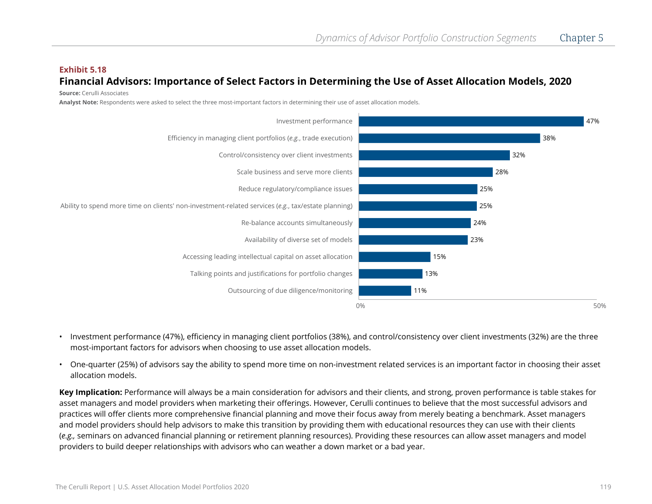## **Exhibit 5.18 Financial Advisors: Importance of Select Factors in Determining the Use of Asset Allocation Models, 2020**

**Source:** Cerulli Associates

**Analyst Note:** Respondents were asked to select the three most-important factors in determining their use of asset allocation models.



- Investment performance (47%), efficiency in managing client portfolios (38%), and control/consistency over client investments (32%) are the three most-important factors for advisors when choosing to use asset allocation models.
- One-quarter (25%) of advisors say the ability to spend more time on non-investment related services is an important factor in choosing their asset allocation models.

**Key Implication:** Performance will always be a main consideration for advisors and their clients, and strong, proven performance is table stakes for asset managers and model providers when marketing their offerings. However, Cerulli continues to believe that the most successful advisors and practices will offer clients more comprehensive financial planning and move their focus away from merely beating a benchmark. Asset managers and model providers should help advisors to make this transition by providing them with educational resources they can use with their clients (*e.g.,* seminars on advanced financial planning or retirement planning resources). Providing these resources can allow asset managers and model providers to build deeper relationships with advisors who can weather a down market or a bad year.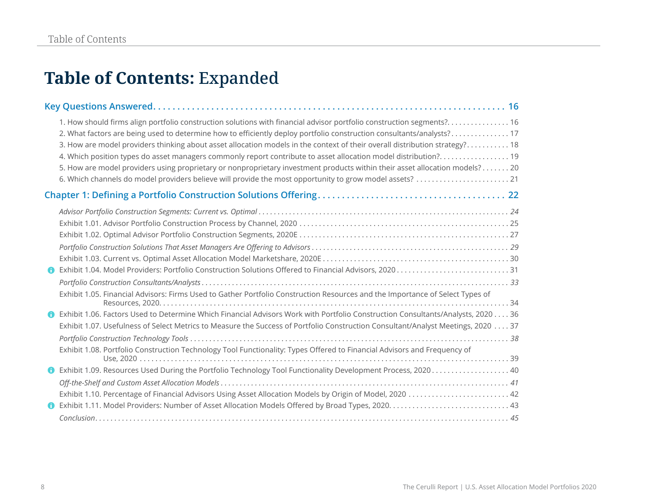# **Table of Contents:** Expanded

|   | 1. How should firms align portfolio construction solutions with financial advisor portfolio construction segments? 16<br>2. What factors are being used to determine how to efficiently deploy portfolio construction consultants/analysts?17<br>3. How are model providers thinking about asset allocation models in the context of their overall distribution strategy? 18<br>4. Which position types do asset managers commonly report contribute to asset allocation model distribution? 19<br>5. How are model providers using proprietary or nonproprietary investment products within their asset allocation models? 20 |
|---|--------------------------------------------------------------------------------------------------------------------------------------------------------------------------------------------------------------------------------------------------------------------------------------------------------------------------------------------------------------------------------------------------------------------------------------------------------------------------------------------------------------------------------------------------------------------------------------------------------------------------------|
|   |                                                                                                                                                                                                                                                                                                                                                                                                                                                                                                                                                                                                                                |
|   |                                                                                                                                                                                                                                                                                                                                                                                                                                                                                                                                                                                                                                |
|   |                                                                                                                                                                                                                                                                                                                                                                                                                                                                                                                                                                                                                                |
|   |                                                                                                                                                                                                                                                                                                                                                                                                                                                                                                                                                                                                                                |
|   | Exhibit 1.05. Financial Advisors: Firms Used to Gather Portfolio Construction Resources and the Importance of Select Types of                                                                                                                                                                                                                                                                                                                                                                                                                                                                                                  |
|   | Exhibit 1.06. Factors Used to Determine Which Financial Advisors Work with Portfolio Construction Consultants/Analysts, 2020 36<br>Exhibit 1.07. Usefulness of Select Metrics to Measure the Success of Portfolio Construction Consultant/Analyst Meetings, 2020 37<br>Exhibit 1.08. Portfolio Construction Technology Tool Functionality: Types Offered to Financial Advisors and Frequency of                                                                                                                                                                                                                                |
| O | Exhibit 1.09. Resources Used During the Portfolio Technology Tool Functionality Development Process, 2020 40<br>Exhibit 1.10. Percentage of Financial Advisors Using Asset Allocation Models by Origin of Model, 2020  42                                                                                                                                                                                                                                                                                                                                                                                                      |
|   |                                                                                                                                                                                                                                                                                                                                                                                                                                                                                                                                                                                                                                |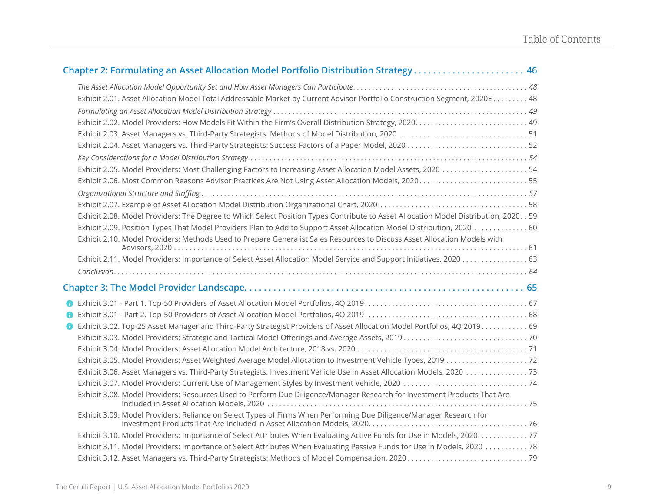| Chapter 2: Formulating an Asset Allocation Model Portfolio Distribution Strategy 46                                                                                                                                                                                 |
|---------------------------------------------------------------------------------------------------------------------------------------------------------------------------------------------------------------------------------------------------------------------|
| Exhibit 2.01. Asset Allocation Model Total Addressable Market by Current Advisor Portfolio Construction Segment, 2020E 48                                                                                                                                           |
| Exhibit 2.05. Model Providers: Most Challenging Factors to Increasing Asset Allocation Model Assets, 2020  54<br>Exhibit 2.06. Most Common Reasons Advisor Practices Are Not Using Asset Allocation Models, 202055                                                  |
| Exhibit 2.08. Model Providers: The Degree to Which Select Position Types Contribute to Asset Allocation Model Distribution, 2020. . 59<br>Exhibit 2.10. Model Providers: Methods Used to Prepare Generalist Sales Resources to Discuss Asset Allocation Models with |
|                                                                                                                                                                                                                                                                     |
|                                                                                                                                                                                                                                                                     |
| <b>O</b> Exhibit 3.02. Top-25 Asset Manager and Third-Party Strategist Providers of Asset Allocation Model Portfolios, 4Q 2019 69<br>Exhibit 3.08. Model Providers: Resources Used to Perform Due Diligence/Manager Research for Investment Products That Are       |
| Exhibit 3.09. Model Providers: Reliance on Select Types of Firms When Performing Due Diligence/Manager Research for                                                                                                                                                 |
| Exhibit 3.10. Model Providers: Importance of Select Attributes When Evaluating Active Funds for Use in Models, 2020. 77                                                                                                                                             |
| Exhibit 3.11. Model Providers: Importance of Select Attributes When Evaluating Passive Funds for Use in Models, 2020 78                                                                                                                                             |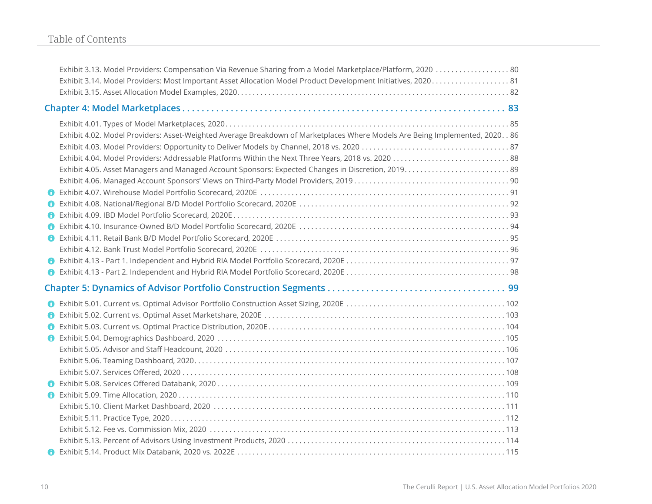|   | Exhibit 3.13. Model Providers: Compensation Via Revenue Sharing from a Model Marketplace/Platform, 2020  80                    |  |  |  |  |
|---|--------------------------------------------------------------------------------------------------------------------------------|--|--|--|--|
|   |                                                                                                                                |  |  |  |  |
|   |                                                                                                                                |  |  |  |  |
|   |                                                                                                                                |  |  |  |  |
|   | Exhibit 4.02. Model Providers: Asset-Weighted Average Breakdown of Marketplaces Where Models Are Being Implemented, 2020. . 86 |  |  |  |  |
|   |                                                                                                                                |  |  |  |  |
|   |                                                                                                                                |  |  |  |  |
|   |                                                                                                                                |  |  |  |  |
|   |                                                                                                                                |  |  |  |  |
|   |                                                                                                                                |  |  |  |  |
|   |                                                                                                                                |  |  |  |  |
| A |                                                                                                                                |  |  |  |  |
|   |                                                                                                                                |  |  |  |  |
|   |                                                                                                                                |  |  |  |  |
|   |                                                                                                                                |  |  |  |  |
|   |                                                                                                                                |  |  |  |  |
|   |                                                                                                                                |  |  |  |  |
|   |                                                                                                                                |  |  |  |  |
|   |                                                                                                                                |  |  |  |  |
|   |                                                                                                                                |  |  |  |  |
|   |                                                                                                                                |  |  |  |  |
|   |                                                                                                                                |  |  |  |  |
|   |                                                                                                                                |  |  |  |  |
|   |                                                                                                                                |  |  |  |  |
|   |                                                                                                                                |  |  |  |  |
|   |                                                                                                                                |  |  |  |  |
|   |                                                                                                                                |  |  |  |  |
|   |                                                                                                                                |  |  |  |  |
|   |                                                                                                                                |  |  |  |  |
|   |                                                                                                                                |  |  |  |  |
|   |                                                                                                                                |  |  |  |  |
|   |                                                                                                                                |  |  |  |  |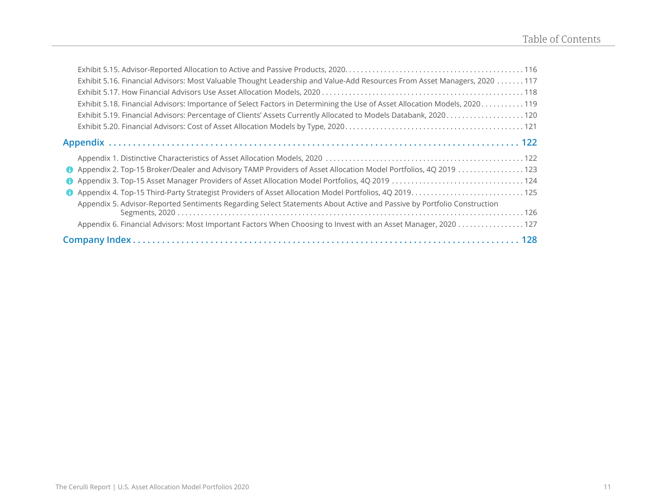| Exhibit 5.16. Financial Advisors: Most Valuable Thought Leadership and Value-Add Resources From Asset Managers, 2020 117   |  |  |
|----------------------------------------------------------------------------------------------------------------------------|--|--|
|                                                                                                                            |  |  |
| Exhibit 5.18. Financial Advisors: Importance of Select Factors in Determining the Use of Asset Allocation Models, 2020 119 |  |  |
| Exhibit 5.19. Financial Advisors: Percentage of Clients' Assets Currently Allocated to Models Databank, 2020 120           |  |  |
|                                                                                                                            |  |  |
|                                                                                                                            |  |  |
|                                                                                                                            |  |  |
|                                                                                                                            |  |  |
| $\bullet$                                                                                                                  |  |  |
|                                                                                                                            |  |  |
| Appendix 5. Advisor-Reported Sentiments Regarding Select Statements About Active and Passive by Portfolio Construction     |  |  |
|                                                                                                                            |  |  |
|                                                                                                                            |  |  |